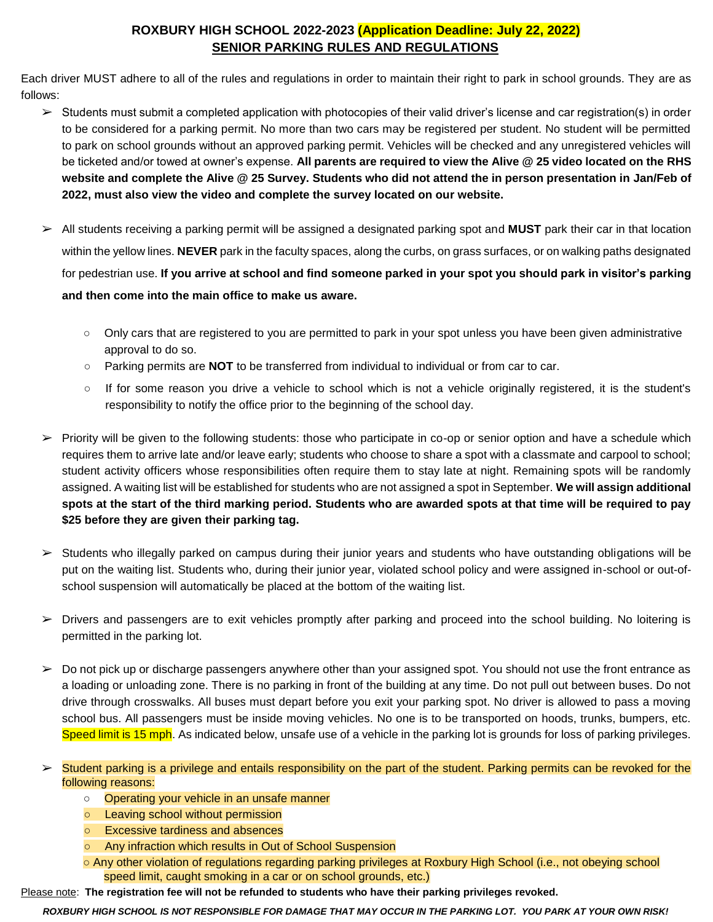## **ROXBURY HIGH SCHOOL 2022-2023 (Application Deadline: July 22, 2022) SENIOR PARKING RULES AND REGULATIONS**

Each driver MUST adhere to all of the rules and regulations in order to maintain their right to park in school grounds. They are as follows:

- ➢ Students must submit a completed application with photocopies of their valid driver's license and car registration(s) in order to be considered for a parking permit. No more than two cars may be registered per student. No student will be permitted to park on school grounds without an approved parking permit. Vehicles will be checked and any unregistered vehicles will be ticketed and/or towed at owner's expense. **All parents are required to view the Alive @ 25 video located on the RHS website and complete the Alive @ 25 Survey. Students who did not attend the in person presentation in Jan/Feb of 2022, must also view the video and complete the survey located on our website.**
- ➢ All students receiving a parking permit will be assigned a designated parking spot and **MUST** park their car in that location within the yellow lines. **NEVER** park in the faculty spaces, along the curbs, on grass surfaces, or on walking paths designated for pedestrian use. **If you arrive at school and find someone parked in your spot you should park in visitor's parking and then come into the main office to make us aware.** 
	- Only cars that are registered to you are permitted to park in your spot unless you have been given administrative approval to do so.
	- **○** Parking permits are **NOT** to be transferred from individual to individual or from car to car.
	- If for some reason you drive a vehicle to school which is not a vehicle originally registered, it is the student's responsibility to notify the office prior to the beginning of the school day.
- $\triangleright$  Priority will be given to the following students: those who participate in co-op or senior option and have a schedule which requires them to arrive late and/or leave early; students who choose to share a spot with a classmate and carpool to school; student activity officers whose responsibilities often require them to stay late at night. Remaining spots will be randomly assigned. A waiting list will be established for students who are not assigned a spot in September. **We will assign additional spots at the start of the third marking period. Students who are awarded spots at that time will be required to pay \$25 before they are given their parking tag.**
- $\triangleright$  Students who illegally parked on campus during their junior years and students who have outstanding obligations will be put on the waiting list. Students who, during their junior year, violated school policy and were assigned in-school or out-ofschool suspension will automatically be placed at the bottom of the waiting list.
- $\triangleright$  Drivers and passengers are to exit vehicles promptly after parking and proceed into the school building. No loitering is permitted in the parking lot.
- $\triangleright$  Do not pick up or discharge passengers anywhere other than your assigned spot. You should not use the front entrance as a loading or unloading zone. There is no parking in front of the building at any time. Do not pull out between buses. Do not drive through crosswalks. All buses must depart before you exit your parking spot. No driver is allowed to pass a moving school bus. All passengers must be inside moving vehicles. No one is to be transported on hoods, trunks, bumpers, etc. Speed limit is 15 mph. As indicated below, unsafe use of a vehicle in the parking lot is grounds for loss of parking privileges.
- $\triangleright$  Student parking is a privilege and entails responsibility on the part of the student. Parking permits can be revoked for the following reasons:
	- Operating your vehicle in an unsafe manner
	- **○** Leaving school without permission
	- **○** Excessive tardiness and absences
	- **○** Any infraction which results in Out of School Suspension
	- Any other violation of regulations regarding parking privileges at Roxbury High School (i.e., not obeying school speed limit, caught smoking in a car or on school grounds, etc.)

Please note: **The registration fee will not be refunded to students who have their parking privileges revoked.** 

*ROXBURY HIGH SCHOOL IS NOT RESPONSIBLE FOR DAMAGE THAT MAY OCCUR IN THE PARKING LOT. YOU PARK AT YOUR OWN RISK!*